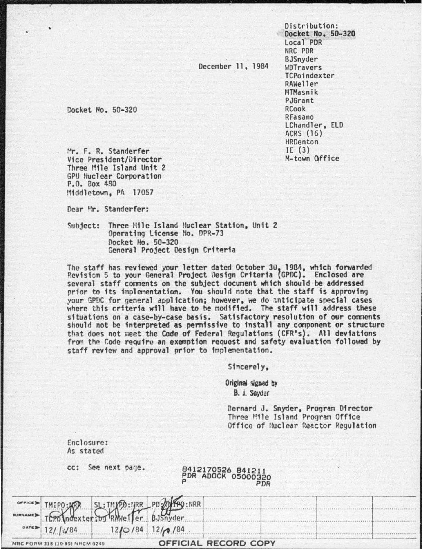Distribution: Docket No. 50-320 Local PDR NRC PDR BJSnyder **WDTravers** TCPoindexter RAWeller MTMasnik PJGrant RCook RFasano LChandler, ELD ACRS (16) HRDenton IE $(3)$ M-town Office

December 11, 1984

Docket No. 50-320

Mr. F. R. Standerfer Vice President/Director Three Mile Island Unit 2 GPU Nuclear Corporation P.O. Box 480 Middletown, PA 17057

Dear Mr. Standerfer:

Three Mile Island Nuclear Station, Unit 2 Subject: Operating License No. DPR-73 Docket No. 50-320 General Project Design Criteria

The staff has reviewed your letter dated October 30, 1984, which forwarded<br>Revision 5 to your General Project Design Criteria (GPDC). Enclosed are several staff comments on the subject document which should be addressed prior to its implementation. You should note that the staff is approving your GPDC for general application; however, we do anticipate special cases where this criteria will have to be modified. The staff will address these situations on a case-by-case basis. Satisfactory resolution of our comments<br>should not be interpreted as permissive to install any component or structure that does not meet the Code of Federal Regulations (CFR's). All deviations from the Code require an exemption request and safety evaluation followed by staff review and approval prior to implementation.

Sincerely,

Original signed by B. J. Sayder

Bernard J. Snyder, Program Director Three Mile Island Program Office Office of Nuclear Reactor Regulation

Enclosure: As stated

cc: See next page.

# 8412170526 841211<br>PDR ADOCK 05000320 PDR

|                                |                        | THEPO: WERE SL: THYPO: URR PD 20149: NRR |                      |  |  |
|--------------------------------|------------------------|------------------------------------------|----------------------|--|--|
|                                | $0ATE$ 12/ $\sqrt{84}$ | $12/0/84$ $12/0/84$                      |                      |  |  |
| NRC FORM 318 (10-80) NRCM 0240 |                        |                                          | OFFICIAL RECORD COPY |  |  |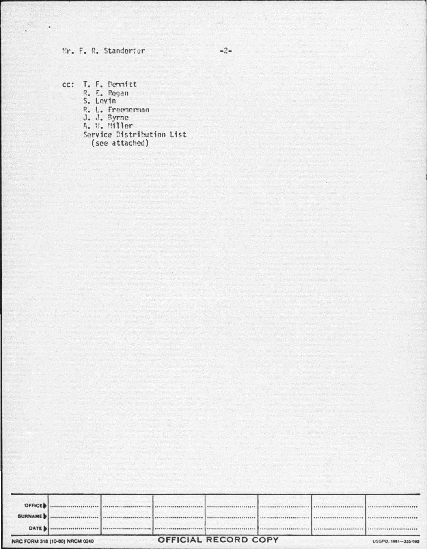## Mr. F. R. Standerfer

 $\mathcal{O}_{\mathcal{O}_{\mathcal{A}}(\mathcal{A})}$  .

cc: T. F. Dernitt R. E. Pogan<br>S. Levin R. L. Freenerman<br>J. J. Byrne<br>A. W. Miller Service Distribution List (see attached)

| NRC FORM 318 (10-80) NRCM 0240 |  |  | OFFICIAL RECORD COPY |  |  |  | USGPO. 1981-335-980 |
|--------------------------------|--|--|----------------------|--|--|--|---------------------|
| <b>DATE</b>                    |  |  |                      |  |  |  |                     |
| <b>SURNAMEDI</b>               |  |  |                      |  |  |  |                     |
| <b>OFFICED</b>                 |  |  |                      |  |  |  |                     |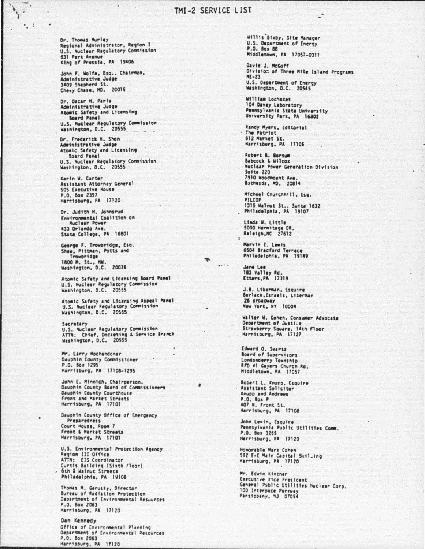## TMI-2 SERVICE LIST

Or. Thomas Murley Regional Administrator, Region I<br>U.S. Nuclear Regulatory Commission 631 Park Avenue King of Prussia, PA 19406

 $\bullet$  :

John F. Wolfe, Esq., Chairman, Administrative Judge 3409 Shepherd St. Chevy Chase, MD. 20015

Dr. Oscar H. Paris Administrative Judge Atomic Safety and Licensing Board Panel U.S. Nuclear Regulatory Commission<br>Washington, D.C. 20555

Dr. Frederick M. Shon Administrative Judge Atomic Safety and Licensing Board Panel U.S. Nuclear Regulatory Commission<br>Washington, D.C. 20555

Karin W. Carter Assistant Attorney General 505 Executive House P.O. Box 2357 Harrisburg, PA 17120

Dr. Judith M. Johnsrud Environmental Coalition on<br>Nuclear Power 433 Orlando Ave. State College, PA 16801

George F. Trowbridge, Esq. Shaw, Pittman, Potts and Trowbridge 1800 M. St., NW.<br>Washington, D.C. 20036

Atomic Safety and Licensing Board Panel U.S. Nuclear Regulatory Commission

Atomic Safety and Licensing Appeal Panel<br>U.S. Nuclear Regulatory Commission<br>Washington, D.C. 20555

Secretary<br>U.S. Nuclear Regulatory Commission<br>ATTN: Chief, Docketing & Service Branch<br>Washington, D.C. 20555

Mr. Larry Mochendoner<br>Dauphin County Commissioner P.O. Box 1295 Harrisburg, PA 17108-1295

John E. Minnich, Chairperson.<br>Dauphin County Board of Commissioners Dauphin County Courthouse Front and Market Streets Herrisburg, PA 17101

Dauphin County Office of Emergency Preparedness Court House, Room 7 Front & Market Streets Harrisburg, PA 17101

U.S. Environmental Protection Agency Region III Office<br>ATTN: EIS Coordinator Curtis Building (Sixth Floor) , 6th & Walnut Streets Philadelphia, PA 19106

Thomas M. Gerusky, Director<br>Bureau of Radiation Protection Department of Environmental Resources P.O. Box 2063 Marrisburg, PA 17120

Dan Kennedy Office of Environmental Planning Department of Environmental Resources P.O. Box 2063 Harrisburg, PA 17120

willis Bisby, Site Manager U.S. Department of Energy **P.O. Box 88** Middletown, PA 17057-0311

Gavid J. McGoff Division of Three Mile Island Programs NF-21 U.S. Department of Energy Washington, D.C. 20545

William Lochstet 104 Davey Laboratory Pennsylvania State University<br>University Park, PA 16802

Randy Myers, Editorial 812 Market St. Harrisburg, PA 17105

Robert B. Borsum<br>Babcock & Wilcox Nuclear Power Generation Division Suite  $220$ 7910 Woodmount Ave. Bathesda, MD. 20814

Michael Churchhill, Esq. **PILCOP** 1315 Walmut St., Suite 1632<br>Philadelphia, PA 19107

Linda W. Little 5000 Hermitage DR.<br>Raleigh, NC 27612

 $\overline{\mathbf{1}}$ 

 $\equiv$ 

 $\theta$ 

 $\cdots$ 

Marvin I. Lewis 6504 Bradford Terrace Philadelphia, PA 19149

Jane Lee 183 Valley Rd.<br>Etters, PA 17319

J.B. Liberman, Esquire Berlack, Israels, Liberman 26 droadvay New York, NY 10004

Walter W. Cohen, Consumer Advocate<br>Department of Justice Strawberry Square, 14th Floor<br>Harrisburg, PA 17127

Edward O. Swartz Board of Supervisors Londonderry Township RFD #1 Geyers Church Rd. Middletown, PA 17057

Robert L. Knupp, Esquire Assistant Solicitor Knupp and Andrews P.O. Box P 407 N. Front St.<br>Harrisburg, PA 17108

John Levin, Esquire Pennsylvania Public Utilities Comm. P.O. Box 3265 Harrisburg, PA 17120

Honorable Mark Cohen 512 E-E Main Capital Suil-ing<br>Harrisburg, PA 17120

Mr. Edwin Kintner Executive Vice President General Public Utilities Nuclear Corp. 100 Interpace Parkway Parsippany, 4J 07054